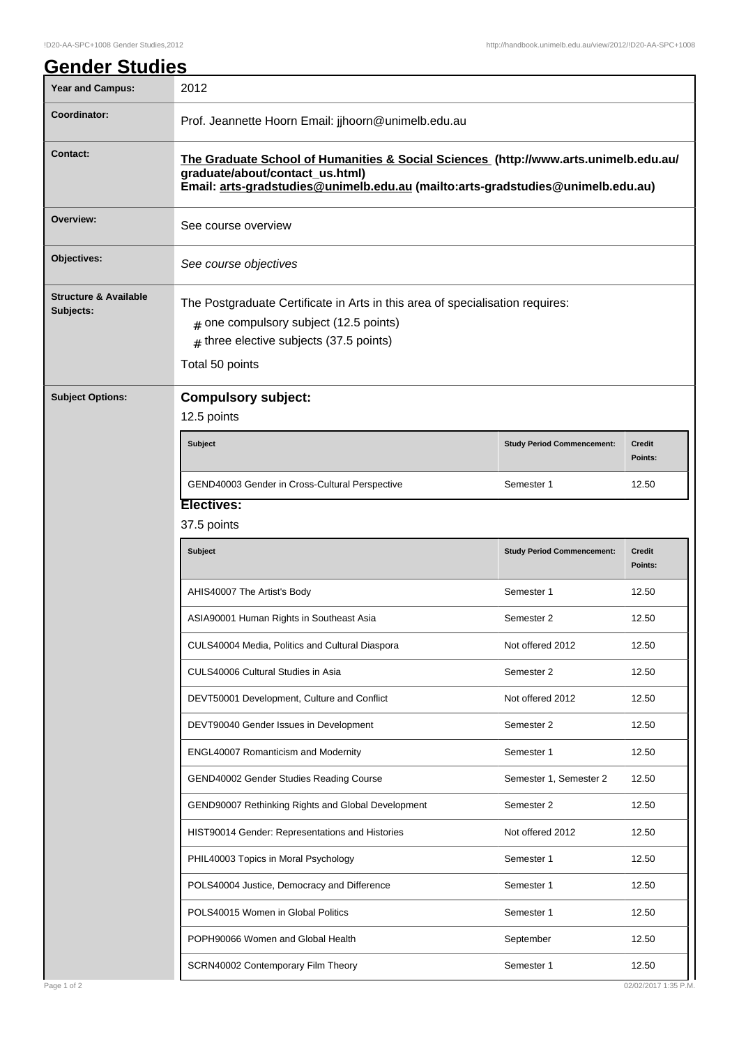| <b>Year and Campus:</b>                       | 2012                                                                                                                                                                                                       |                                   |                          |  |
|-----------------------------------------------|------------------------------------------------------------------------------------------------------------------------------------------------------------------------------------------------------------|-----------------------------------|--------------------------|--|
| Coordinator:                                  | Prof. Jeannette Hoorn Email: jjhoorn@unimelb.edu.au                                                                                                                                                        |                                   |                          |  |
| Contact:                                      | The Graduate School of Humanities & Social Sciences (http://www.arts.unimelb.edu.au/<br>graduate/about/contact_us.html)<br>Email: arts-gradstudies@unimelb.edu.au (mailto:arts-gradstudies@unimelb.edu.au) |                                   |                          |  |
| Overview:                                     | See course overview                                                                                                                                                                                        |                                   |                          |  |
| Objectives:                                   | See course objectives                                                                                                                                                                                      |                                   |                          |  |
| <b>Structure &amp; Available</b><br>Subjects: | The Postgraduate Certificate in Arts in this area of specialisation requires:<br>$#$ one compulsory subject (12.5 points)<br>$#$ three elective subjects (37.5 points)<br>Total 50 points                  |                                   |                          |  |
| <b>Subject Options:</b>                       | <b>Compulsory subject:</b><br>12.5 points                                                                                                                                                                  |                                   |                          |  |
|                                               | <b>Subject</b>                                                                                                                                                                                             | <b>Study Period Commencement:</b> | Credit<br>Points:        |  |
|                                               | GEND40003 Gender in Cross-Cultural Perspective                                                                                                                                                             | Semester 1                        | 12.50                    |  |
|                                               | <b>Electives:</b>                                                                                                                                                                                          |                                   |                          |  |
|                                               | 37.5 points                                                                                                                                                                                                |                                   |                          |  |
|                                               | Subject                                                                                                                                                                                                    | <b>Study Period Commencement:</b> | <b>Credit</b><br>Points: |  |
|                                               | AHIS40007 The Artist's Body                                                                                                                                                                                | Semester 1                        | 12.50                    |  |
|                                               | ASIA90001 Human Rights in Southeast Asia                                                                                                                                                                   | Semester 2                        | 12.50                    |  |
|                                               | CULS40004 Media, Politics and Cultural Diaspora                                                                                                                                                            | Not offered 2012                  | 12.50                    |  |
|                                               | CULS40006 Cultural Studies in Asia                                                                                                                                                                         | Semester 2                        | 12.50                    |  |
|                                               | DEVT50001 Development, Culture and Conflict                                                                                                                                                                | Not offered 2012                  | 12.50                    |  |
|                                               | DEVT90040 Gender Issues in Development                                                                                                                                                                     | Semester 2                        | 12.50                    |  |
|                                               | ENGL40007 Romanticism and Modernity                                                                                                                                                                        | Semester 1                        | 12.50                    |  |
|                                               | GEND40002 Gender Studies Reading Course                                                                                                                                                                    | Semester 1, Semester 2            | 12.50                    |  |
|                                               | GEND90007 Rethinking Rights and Global Development                                                                                                                                                         | Semester 2                        | 12.50                    |  |
|                                               | HIST90014 Gender: Representations and Histories                                                                                                                                                            | Not offered 2012                  | 12.50                    |  |
|                                               | PHIL40003 Topics in Moral Psychology                                                                                                                                                                       | Semester 1                        | 12.50                    |  |
|                                               | POLS40004 Justice, Democracy and Difference                                                                                                                                                                | Semester 1                        | 12.50                    |  |
|                                               | POLS40015 Women in Global Politics                                                                                                                                                                         | Semester 1                        | 12.50                    |  |
|                                               |                                                                                                                                                                                                            |                                   |                          |  |
|                                               | POPH90066 Women and Global Health                                                                                                                                                                          | September                         | 12.50                    |  |